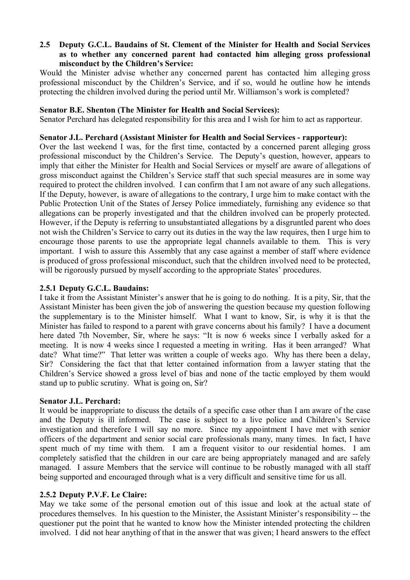## **2.5** � **Deputy G.C.L. Baudains of St. Clement of the Minister for Health and Social Services as to whether any concerned parent had contacted him alleging gross professional misconduct by the Children's Service:**

Would the Minister advise whether any concerned parent has contacted him alleging gross professional misconduct by the Children's Service, and if so, would he outline how he intends protecting the children involved during the period until Mr. Williamson's work is completed?

### **Senator B.E. Shenton (The Minister for Health and Social Services):**

Senator Perchard has delegated responsibility for this area and I wish for him to act as rapporteur.

## **Senator J.L. Perchard (Assistant Minister for Health and Social Services - rapporteur):**

Over the last weekend I was, for the first time, contacted by a concerned parent alleging gross professional misconduct by the Children's Service. The Deputy's question, however, appears to imply that either the Minister for Health and Social Services or myself are aware of allegations of gross misconduct against the Children's Service staff that such special measures are in some way required to protect the children involved. I can confirm that I am not aware of any such allegations. If the Deputy, however, is aware of allegations to the contrary, I urge him to make contact with the Public Protection Unit of the States of Jersey Police immediately, furnishing any evidence so that allegations can be properly investigated and that the children involved can be properly protected. However, if the Deputy is referring to unsubstantiated allegations by a disgruntled parent who does not wish the Children's Service to carry out its duties in the way the law requires, then I urge him to encourage those parents to use the appropriate legal channels available to them. This is very important. I wish to assure this Assembly that any case against a member of staff where evidence is produced of gross professional misconduct, such that the children involved need to be protected, will be rigorously pursued by myself according to the appropriate States' procedures.

## **2.5.1 Deputy G.C.L. Baudains:**

I take it from the Assistant Minister's answer that he is going to do nothing. It is a pity, Sir, that the Assistant Minister has been given the job of answering the question because my question following the supplementary is to the Minister himself. What I want to know, Sir, is why it is that the Minister has failed to respond to a parent with grave concerns about his family? I have a document here dated 7th November, Sir, where he says: "It is now 6 weeks since I verbally asked for a meeting. It is now 4 weeks since I requested a meeting in writing. Has it been arranged? What date? What time?" That letter was written a couple of weeks ago. Why has there been a delay, Sir? Considering the fact that that letter contained information from a lawyer stating that the Children's Service showed a gross level of bias and none of the tactic employed by them would stand up to public scrutiny. What is going on, Sir?

#### **Senator J.L. Perchard:**

It would be inappropriate to discuss the details of a specific case other than I am aware of the case and the Deputy is ill informed. The case is subject to a live police and Children's Service investigation and therefore I will say no more. Since my appointment I have met with senior officers of the department and senior social care professionals many, many times. In fact, I have spent much of my time with them. I am a frequent visitor to our residential homes. I am completely satisfied that the children in our care are being appropriately managed and are safely managed. I assure Members that the service will continue to be robustly managed with all staff being supported and encouraged through what is a very difficult and sensitive time for us all.

# **2.5.2 Deputy P.V.F. Le Claire:**

May we take some of the personal emotion out of this issue and look at the actual state of procedures themselves. In his question to the Minister, the Assistant Minister's responsibility -- the questioner put the point that he wanted to know how the Minister intended protecting the children involved. I did not hear anything of that in the answer that was given; I heard answers to the effect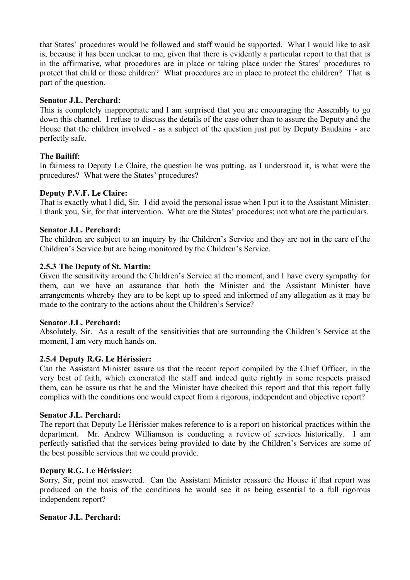that States' procedures would be followed and staff would be supported. What I would like to ask is, because it has been unclear to me, given that there is evidently a particular report to that that is in the affirmative, what procedures are in place or taking place under the States' procedures to protect that child or those children? What procedures are in place to protect the children? That is part of the question.

## **Senator J.L. Perchard:**

This is completely inappropriate and I am surprised that you are encouraging the Assembly to go down this channel. I refuse to discuss the details of the case other than to assure the Deputy and the House that the children involved - as a subject of the question just put by Deputy Baudains - are perfectly safe.

## **The Bailiff:**

In fairness to Deputy Le Claire, the question he was putting, as I understood it, is what were the procedures? What were the States' procedures?

## **Deputy P.V.F. Le Claire:**

That is exactly what I did, Sir. I did avoid the personal issue when I put it to the Assistant Minister. I thank you, Sir, for that intervention. What are the States' procedures; not what are the particulars.

## **Senator J.L. Perchard:**

The children are subject to an inquiry by the Children's Service and they are not in the care of the Children's Service but are being monitored by the Children's Service.

#### **2.5.3 The Deputy of St. Martin:**

Given the sensitivity around the Children's Service at the moment, and I have every sympathy for them, can we have an assurance that both the Minister and the Assistant Minister have arrangements whereby they are to be kept up to speed and informed of any allegation as it may be made to the contrary to the actions about the Children's Service?

#### **Senator J.L. Perchard:**

Absolutely, Sir. As a result of the sensitivities that are surrounding the Children's Service at the moment, I am very much hands on.

#### **2.5.4 Deputy R.G. Le Hérissier:**

Can the Assistant Minister assure us that the recent report compiled by the Chief Officer, in the very best of faith, which exonerated the staff and indeed quite rightly in some respects praised them, can he assure us that he and the Minister have checked this report and that this report fully complies with the conditions one would expect from a rigorous, independent and objective report?

#### **Senator J.L. Perchard:**

The report that Deputy Le Hérissier makes reference to is a report on historical practices within the department. Mr. Andrew Williamson is conducting a review of services historically. I am perfectly satisfied that the services being provided to date by the Children's Services are some of the best possible services that we could provide.

#### **Deputy R.G. Le Hérissier:**

Sorry, Sir, point not answered. Can the Assistant Minister reassure the House if that report was produced on the basis of the conditions he would see it as being essential to a full rigorous independent report?

#### **Senator J.L. Perchard:**